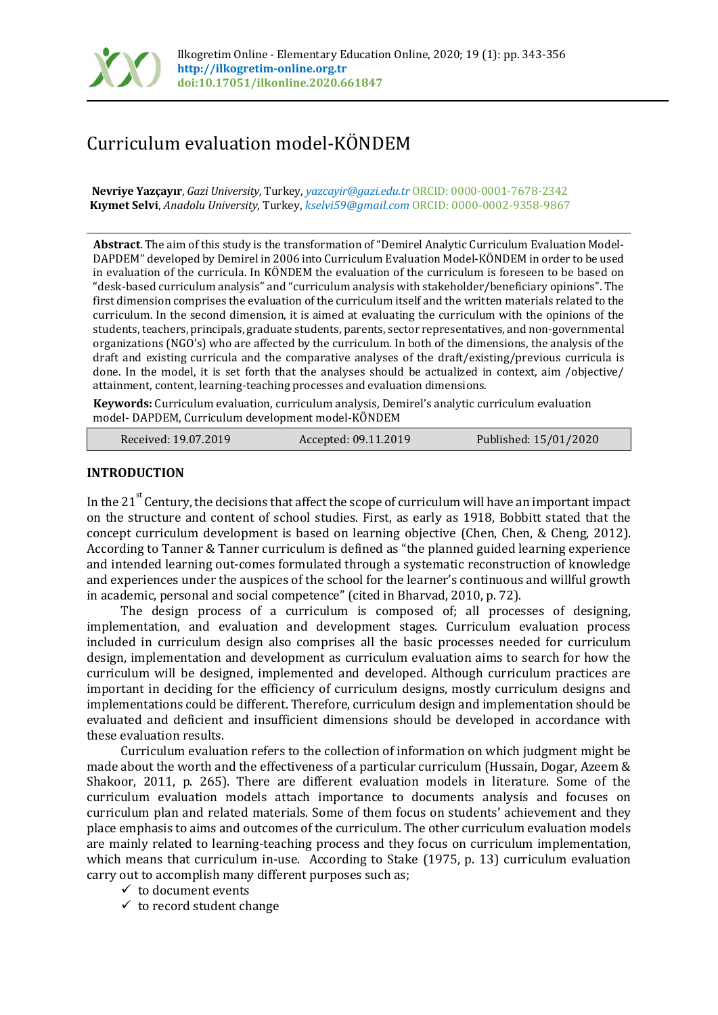

# Curriculum evaluation model-KÖNDEM

**Nevriye Yazçayır**, *Gazi University,* Turkey, *yazcayir@gazi.edu.tr* ORCID: 0000-0001-7678-2342 **Kıymet Selvi**, *Anadolu University,* Turkey, *[kselvi59@gmail.com](mailto:kselvi59@gmail.com)* ORCID: 0000-0002-9358-9867

**Abstract**. The aim of this study is the transformation of "Demirel Analytic Curriculum Evaluation Model-DAPDEM" developed by Demirel in 2006 into Curriculum Evaluation Model-KÖNDEM in order to be used in evaluation of the curricula. In KÖNDEM the evaluation of the curriculum is foreseen to be based on "desk-based curriculum analysis" and "curriculum analysis with stakeholder/beneficiary opinions". The first dimension comprises the evaluation of the curriculum itself and the written materials related to the curriculum. In the second dimension, it is aimed at evaluating the curriculum with the opinions of the students, teachers, principals, graduate students, parents, sector representatives, and non-governmental organizations (NGO's) who are affected by the curriculum. In both of the dimensions, the analysis of the draft and existing curricula and the comparative analyses of the draft/existing/previous curricula is done. In the model, it is set forth that the analyses should be actualized in context, aim /objective/ attainment, content, learning-teaching processes and evaluation dimensions.

**Keywords:** Curriculum evaluation, curriculum analysis, Demirel's analytic curriculum evaluation model- DAPDEM, Curriculum development model-KÖNDEM

| Received: 19.07.2019 | Accepted: 09.11.2019 | Published: 15/01/2020 |
|----------------------|----------------------|-----------------------|
|----------------------|----------------------|-----------------------|

# **INTRODUCTION**

In the 21<sup>st</sup> Century, the decisions that affect the scope of curriculum will have an important impact on the structure and content of school studies. First, as early as 1918, Bobbitt stated that the concept curriculum development is based on learning objective (Chen, Chen, & Cheng, 2012). According to Tanner & Tanner curriculum is defined as "the planned guided learning experience and intended learning out-comes formulated through a systematic reconstruction of knowledge and experiences under the auspices of the school for the learner's continuous and willful growth in academic, personal and social competence" (cited in Bharvad, 2010, p. 72).

The design process of a curriculum is composed of; all processes of designing, implementation, and evaluation and development stages. Curriculum evaluation process included in curriculum design also comprises all the basic processes needed for curriculum design, implementation and development as curriculum evaluation aims to search for how the curriculum will be designed, implemented and developed. Although curriculum practices are important in deciding for the efficiency of curriculum designs, mostly curriculum designs and implementations could be different. Therefore, curriculum design and implementation should be evaluated and deficient and insufficient dimensions should be developed in accordance with these evaluation results.

Curriculum evaluation refers to the collection of information on which judgment might be made about the worth and the effectiveness of a particular curriculum (Hussain, Dogar, Azeem & Shakoor, 2011, p. 265). There are different evaluation models in literature. Some of the curriculum evaluation models attach importance to documents analysis and focuses on curriculum plan and related materials. Some of them focus on students' achievement and they place emphasis to aims and outcomes of the curriculum. The other curriculum evaluation models are mainly related to learning-teaching process and they focus on curriculum implementation, which means that curriculum in-use. According to Stake (1975, p. 13) curriculum evaluation carry out to accomplish many different purposes such as;

- $\checkmark$  to document events
- $\checkmark$  to record student change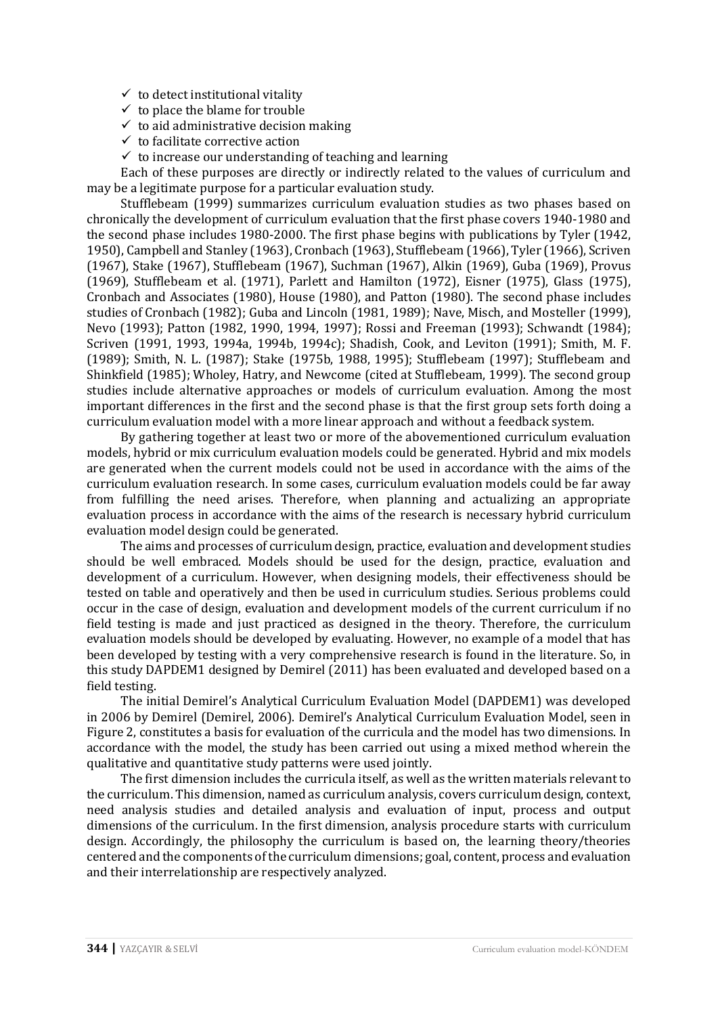- $\checkmark$  to detect institutional vitality
- $\checkmark$  to place the blame for trouble
- $\checkmark$  to aid administrative decision making
- $\checkmark$  to facilitate corrective action
- $\checkmark$  to increase our understanding of teaching and learning

Each of these purposes are directly or indirectly related to the values of curriculum and may be a legitimate purpose for a particular evaluation study.

Stufflebeam (1999) summarizes curriculum evaluation studies as two phases based on chronically the development of curriculum evaluation that the first phase covers 1940-1980 and the second phase includes 1980-2000. The first phase begins with publications by Tyler (1942, 1950), Campbell and Stanley (1963), Cronbach (1963), Stufflebeam (1966), Tyler (1966), Scriven (1967), Stake (1967), Stufflebeam (1967), Suchman (1967), Alkin (1969), Guba (1969), Provus (1969), Stufflebeam et al. (1971), Parlett and Hamilton (1972), Eisner (1975), Glass (1975), Cronbach and Associates (1980), House (1980), and Patton (1980). The second phase includes studies of Cronbach (1982); Guba and Lincoln (1981, 1989); Nave, Misch, and Mosteller (1999), Nevo (1993); Patton (1982, 1990, 1994, 1997); Rossi and Freeman (1993); Schwandt (1984); Scriven (1991, 1993, 1994a, 1994b, 1994c); Shadish, Cook, and Leviton (1991); Smith, M. F. (1989); Smith, N. L. (1987); Stake (1975b, 1988, 1995); Stufflebeam (1997); Stufflebeam and Shinkfield (1985); Wholey, Hatry, and Newcome (cited at Stufflebeam, 1999). The second group studies include alternative approaches or models of curriculum evaluation. Among the most important differences in the first and the second phase is that the first group sets forth doing a curriculum evaluation model with a more linear approach and without a feedback system.

By gathering together at least two or more of the abovementioned curriculum evaluation models, hybrid or mix curriculum evaluation models could be generated. Hybrid and mix models are generated when the current models could not be used in accordance with the aims of the curriculum evaluation research. In some cases, curriculum evaluation models could be far away from fulfilling the need arises. Therefore, when planning and actualizing an appropriate evaluation process in accordance with the aims of the research is necessary hybrid curriculum evaluation model design could be generated.

The aims and processes of curriculum design, practice, evaluation and development studies should be well embraced. Models should be used for the design, practice, evaluation and development of a curriculum. However, when designing models, their effectiveness should be tested on table and operatively and then be used in curriculum studies. Serious problems could occur in the case of design, evaluation and development models of the current curriculum if no field testing is made and just practiced as designed in the theory. Therefore, the curriculum evaluation models should be developed by evaluating. However, no example of a model that has been developed by testing with a very comprehensive research is found in the literature. So, in this study DAPDEM1 designed by Demirel (2011) has been evaluated and developed based on a field testing.

The initial Demirel's Analytical Curriculum Evaluation Model (DAPDEM1) was developed in 2006 by Demirel (Demirel, 2006). Demirel's Analytical Curriculum Evaluation Model, seen in Figure 2, constitutes a basis for evaluation of the curricula and the model has two dimensions. In accordance with the model, the study has been carried out using a mixed method wherein the qualitative and quantitative study patterns were used jointly.

The first dimension includes the curricula itself, as well as the written materials relevant to the curriculum. This dimension, named as curriculum analysis, covers curriculum design, context, need analysis studies and detailed analysis and evaluation of input, process and output dimensions of the curriculum. In the first dimension, analysis procedure starts with curriculum design. Accordingly, the philosophy the curriculum is based on, the learning theory/theories centered and the components of the curriculum dimensions; goal, content, process and evaluation and their interrelationship are respectively analyzed.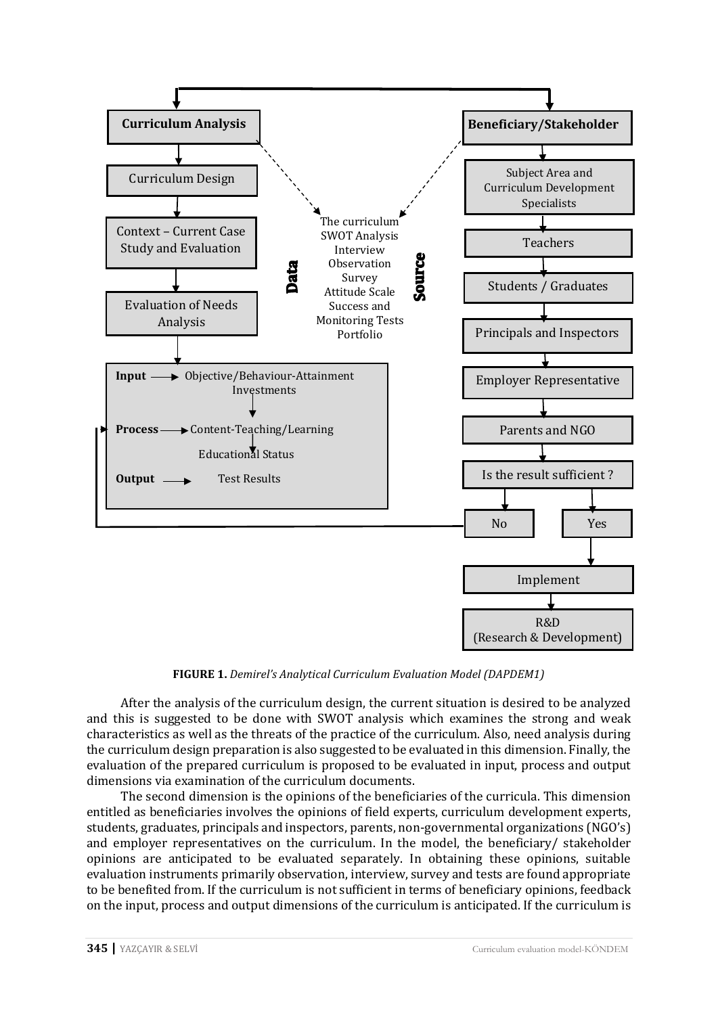

**FIGURE 1.** *Demirel's Analytical Curriculum Evaluation Model (DAPDEM1)*

After the analysis of the curriculum design, the current situation is desired to be analyzed and this is suggested to be done with SWOT analysis which examines the strong and weak characteristics as well as the threats of the practice of the curriculum. Also, need analysis during the curriculum design preparation is also suggested to be evaluated in this dimension. Finally, the evaluation of the prepared curriculum is proposed to be evaluated in input, process and output dimensions via examination of the curriculum documents.

The second dimension is the opinions of the beneficiaries of the curricula. This dimension entitled as beneficiaries involves the opinions of field experts, curriculum development experts, students, graduates, principals and inspectors, parents, non-governmental organizations (NGO's) and employer representatives on the curriculum. In the model, the beneficiary/ stakeholder opinions are anticipated to be evaluated separately. In obtaining these opinions, suitable evaluation instruments primarily observation, interview, survey and tests are found appropriate to be benefited from. If the curriculum is not sufficient in terms of beneficiary opinions, feedback on the input, process and output dimensions of the curriculum is anticipated. If the curriculum is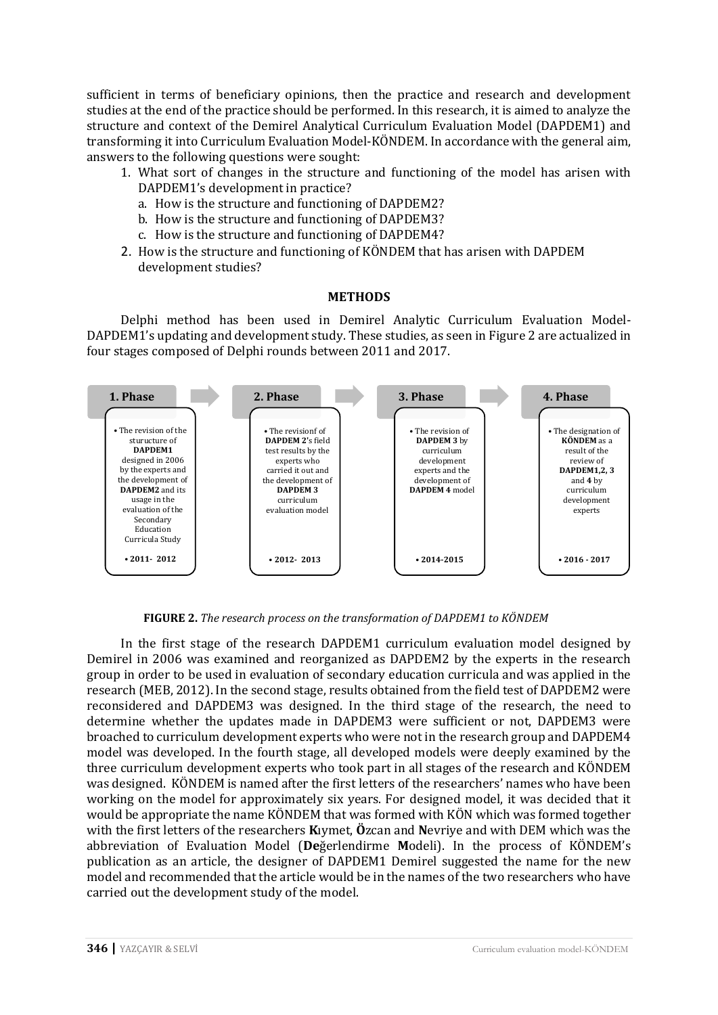sufficient in terms of beneficiary opinions, then the practice and research and development studies at the end of the practice should be performed. In this research, it is aimed to analyze the structure and context of the Demirel Analytical Curriculum Evaluation Model (DAPDEM1) and transforming it into Curriculum Evaluation Model-KÖNDEM. In accordance with the general aim, answers to the following questions were sought:

- 1. What sort of changes in the structure and functioning of the model has arisen with DAPDEM1's development in practice?
	- a. How is the structure and functioning of DAPDEM2?
	- b. How is the structure and functioning of DAPDEM3?
	- c. How is the structure and functioning of DAPDEM4?
- 2. How is the structure and functioning of KÖNDEM that has arisen with DAPDEM development studies?

### **METHODS**

Delphi method has been used in Demirel Analytic Curriculum Evaluation Model-DAPDEM1's updating and development study. These studies, as seen in Figure 2 are actualized in four stages composed of Delphi rounds between 2011 and 2017.



**FIGURE 2.** *The research process on the transformation of DAPDEM1 to KÖNDEM*

In the first stage of the research DAPDEM1 curriculum evaluation model designed by Demirel in 2006 was examined and reorganized as DAPDEM2 by the experts in the research group in order to be used in evaluation of secondary education curricula and was applied in the research (MEB, 2012). In the second stage, results obtained from the field test of DAPDEM2 were reconsidered and DAPDEM3 was designed. In the third stage of the research, the need to determine whether the updates made in DAPDEM3 were sufficient or not, DAPDEM3 were broached to curriculum development experts who were not in the research group and DAPDEM4 model was developed. In the fourth stage, all developed models were deeply examined by the three curriculum development experts who took part in all stages of the research and KÖNDEM was designed. KÖNDEM is named after the first letters of the researchers' names who have been working on the model for approximately six years. For designed model, it was decided that it would be appropriate the name KÖNDEM that was formed with KÖN which was formed together with the first letters of the researchers **K**ıymet, **Ö**zcan and **N**evriye and with DEM which was the abbreviation of Evaluation Model (**De**ğerlendirme **M**odeli). In the process of KÖNDEM's publication as an article, the designer of DAPDEM1 Demirel suggested the name for the new model and recommended that the article would be in the names of the two researchers who have carried out the development study of the model.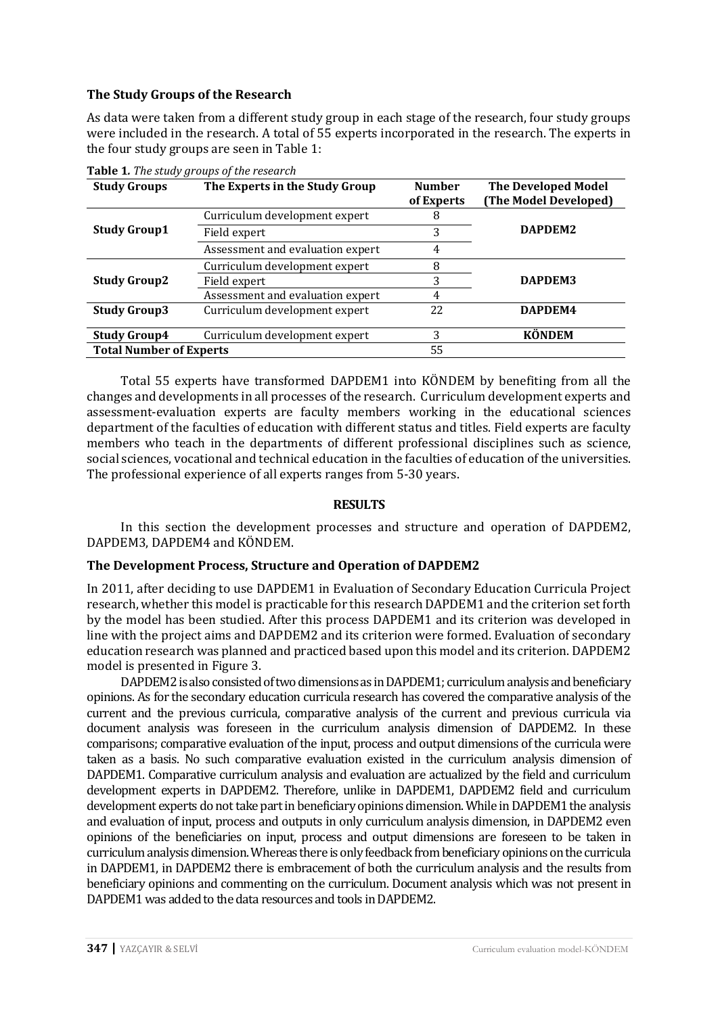# **The Study Groups of the Research**

As data were taken from a different study group in each stage of the research, four study groups were included in the research. A total of 55 experts incorporated in the research. The experts in the four study groups are seen in Table 1:

| <b>Study Groups</b>            | The Experts in the Study Group   | <b>Number</b><br>of Experts | <b>The Developed Model</b><br>(The Model Developed) |
|--------------------------------|----------------------------------|-----------------------------|-----------------------------------------------------|
|                                | Curriculum development expert    | 8                           |                                                     |
| <b>Study Group1</b>            | Field expert                     | 3                           | DAPDEM2                                             |
|                                | Assessment and evaluation expert | 4                           |                                                     |
|                                | Curriculum development expert    | 8                           |                                                     |
| <b>Study Group2</b>            | Field expert                     | 3                           | DAPDEM3                                             |
|                                | Assessment and evaluation expert | 4                           |                                                     |
| <b>Study Group3</b>            | Curriculum development expert    | 22                          | DAPDEM4                                             |
| <b>Study Group4</b>            | Curriculum development expert    | 3                           | <b>KÖNDEM</b>                                       |
| <b>Total Number of Experts</b> |                                  | 55                          |                                                     |

**Table 1***. The study groups of the research* 

Total 55 experts have transformed DAPDEM1 into KÖNDEM by benefiting from all the changes and developments in all processes of the research. Curriculum development experts and assessment-evaluation experts are faculty members working in the educational sciences department of the faculties of education with different status and titles. Field experts are faculty members who teach in the departments of different professional disciplines such as science, social sciences, vocational and technical education in the faculties of education of the universities. The professional experience of all experts ranges from 5-30 years.

### **RESULTS**

In this section the development processes and structure and operation of DAPDEM2, DAPDEM3, DAPDEM4 and KÖNDEM.

### **The Development Process, Structure and Operation of DAPDEM2**

In 2011, after deciding to use DAPDEM1 in Evaluation of Secondary Education Curricula Project research, whether this model is practicable for this research DAPDEM1 and the criterion set forth by the model has been studied. After this process DAPDEM1 and its criterion was developed in line with the project aims and DAPDEM2 and its criterion were formed. Evaluation of secondary education research was planned and practiced based upon this model and its criterion. DAPDEM2 model is presented in Figure 3.

DAPDEM2 is also consisted of two dimensions as in DAPDEM1; curriculum analysis and beneficiary opinions. As for the secondary education curricula research has covered the comparative analysis of the current and the previous curricula, comparative analysis of the current and previous curricula via document analysis was foreseen in the curriculum analysis dimension of DAPDEM2. In these comparisons; comparative evaluation of the input, process and output dimensions of the curricula were taken as a basis. No such comparative evaluation existed in the curriculum analysis dimension of DAPDEM1. Comparative curriculum analysis and evaluation are actualized by the field and curriculum development experts in DAPDEM2. Therefore, unlike in DAPDEM1, DAPDEM2 field and curriculum development experts do not take part in beneficiary opinions dimension. While in DAPDEM1 the analysis and evaluation of input, process and outputs in only curriculum analysis dimension, in DAPDEM2 even opinions of the beneficiaries on input, process and output dimensions are foreseen to be taken in curriculum analysis dimension. Whereas there is only feedback from beneficiary opinions on the curricula in DAPDEM1, in DAPDEM2 there is embracement of both the curriculum analysis and the results from beneficiary opinions and commenting on the curriculum. Document analysis which was not present in DAPDEM1 was added to the data resources and tools in DAPDEM2.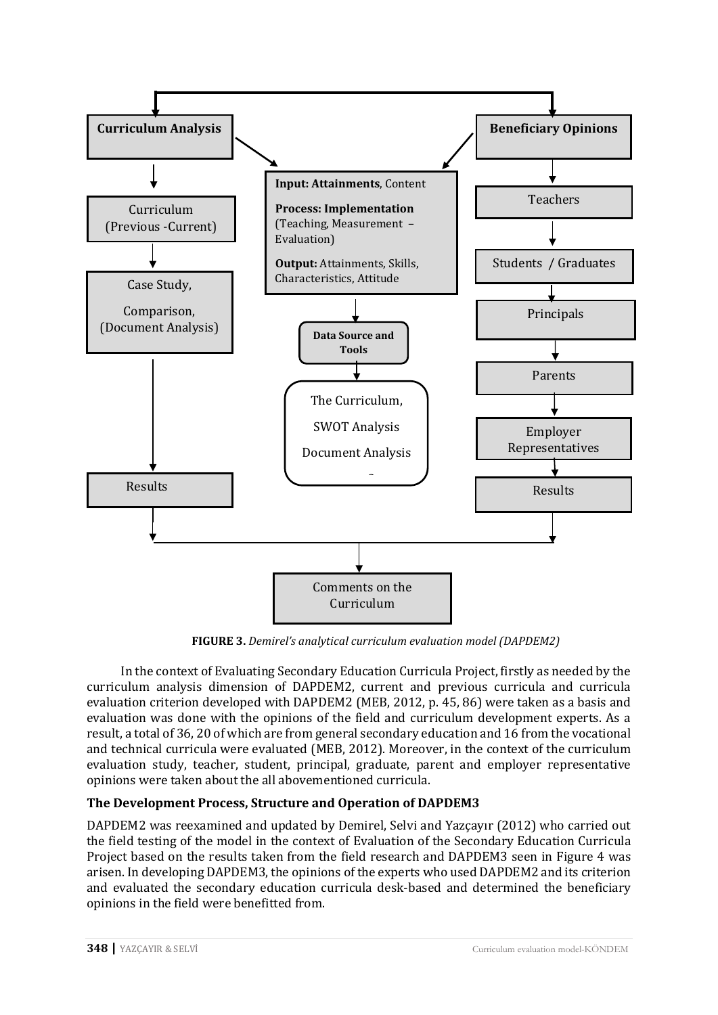

**FIGURE 3.** *Demirel's analytical curriculum evaluation model (DAPDEM2)*

In the context of Evaluating Secondary Education Curricula Project, firstly as needed by the curriculum analysis dimension of DAPDEM2, current and previous curricula and curricula evaluation criterion developed with DAPDEM2 (MEB, 2012, p. 45, 86) were taken as a basis and evaluation was done with the opinions of the field and curriculum development experts. As a result, a total of 36, 20 of which are from general secondary education and 16 from the vocational and technical curricula were evaluated (MEB, 2012). Moreover, in the context of the curriculum evaluation study, teacher, student, principal, graduate, parent and employer representative opinions were taken about the all abovementioned curricula.

# **The Development Process, Structure and Operation of DAPDEM3**

DAPDEM2 was reexamined and updated by Demirel, Selvi and Yazçayır (2012) who carried out the field testing of the model in the context of Evaluation of the Secondary Education Curricula Project based on the results taken from the field research and DAPDEM3 seen in Figure 4 was arisen. In developing DAPDEM3, the opinions of the experts who used DAPDEM2 and its criterion and evaluated the secondary education curricula desk-based and determined the beneficiary opinions in the field were benefitted from.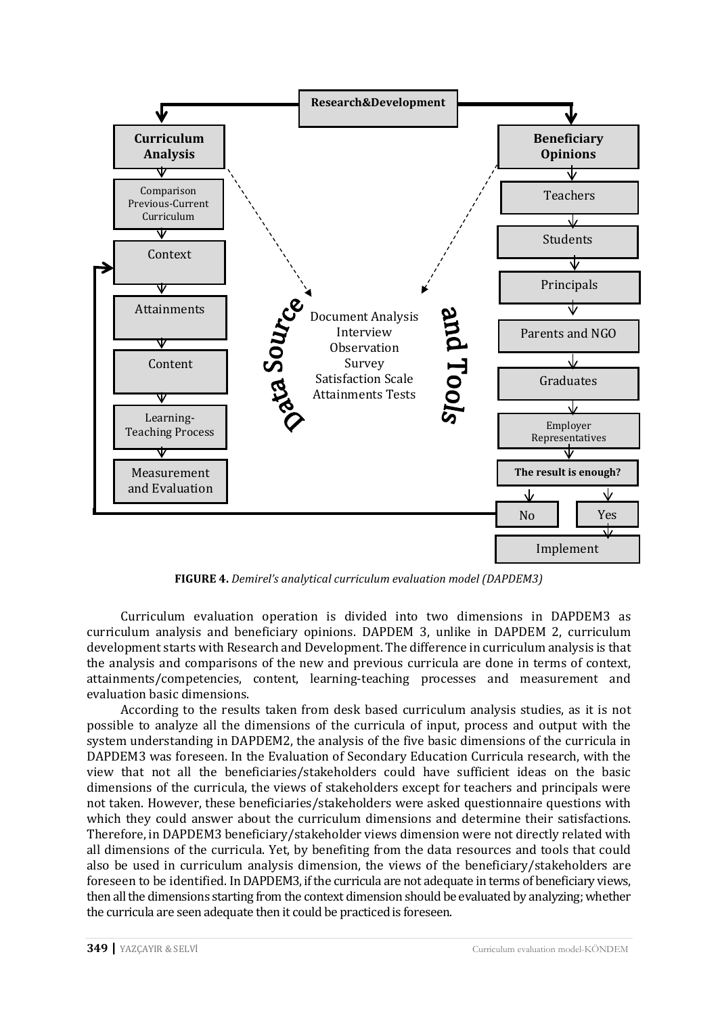

**FIGURE 4.** *Demirel's analytical curriculum evaluation model (DAPDEM3)*

Curriculum evaluation operation is divided into two dimensions in DAPDEM3 as curriculum analysis and beneficiary opinions. DAPDEM 3, unlike in DAPDEM 2, curriculum development starts with Research and Development. The difference in curriculum analysis is that the analysis and comparisons of the new and previous curricula are done in terms of context, attainments/competencies, content, learning-teaching processes and measurement and evaluation basic dimensions.

According to the results taken from desk based curriculum analysis studies, as it is not possible to analyze all the dimensions of the curricula of input, process and output with the system understanding in DAPDEM2, the analysis of the five basic dimensions of the curricula in DAPDEM3 was foreseen. In the Evaluation of Secondary Education Curricula research, with the view that not all the beneficiaries/stakeholders could have sufficient ideas on the basic dimensions of the curricula, the views of stakeholders except for teachers and principals were not taken. However, these beneficiaries/stakeholders were asked questionnaire questions with which they could answer about the curriculum dimensions and determine their satisfactions. Therefore, in DAPDEM3 beneficiary/stakeholder views dimension were not directly related with all dimensions of the curricula. Yet, by benefiting from the data resources and tools that could also be used in curriculum analysis dimension, the views of the beneficiary/stakeholders are foreseen to be identified. In DAPDEM3, if the curricula are not adequate in terms of beneficiary views, then all the dimensions starting from the context dimension should be evaluated by analyzing; whether the curricula are seen adequate then it could be practiced is foreseen.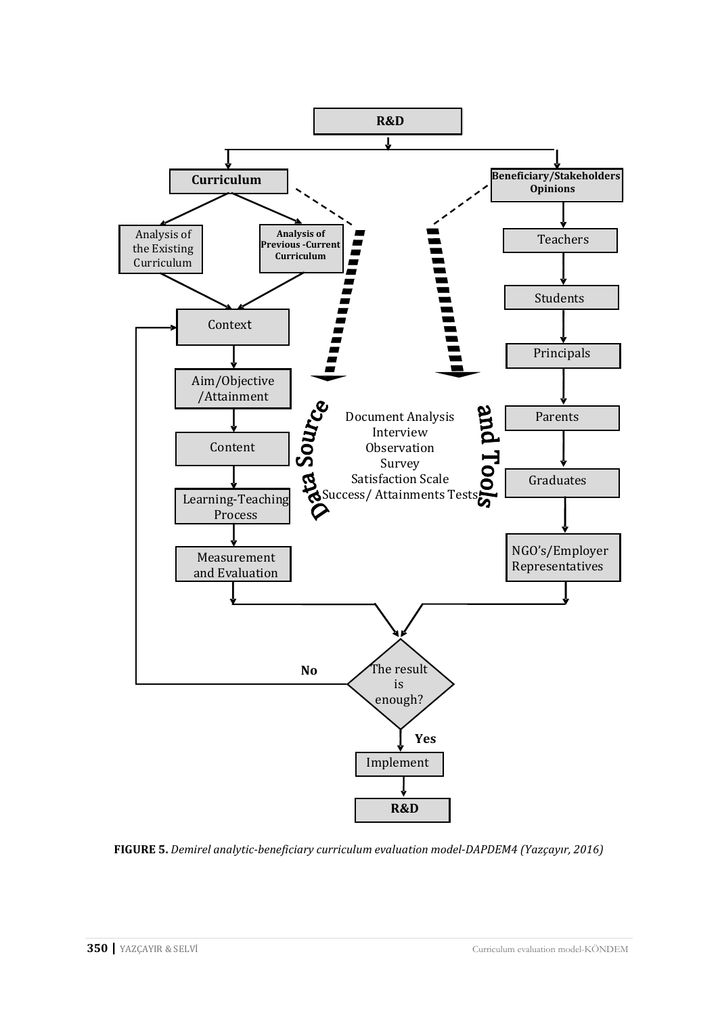

**FIGURE 5.** *Demirel analytic-beneficiary curriculum evaluation model-DAPDEM4 (Yazçayır, 2016)*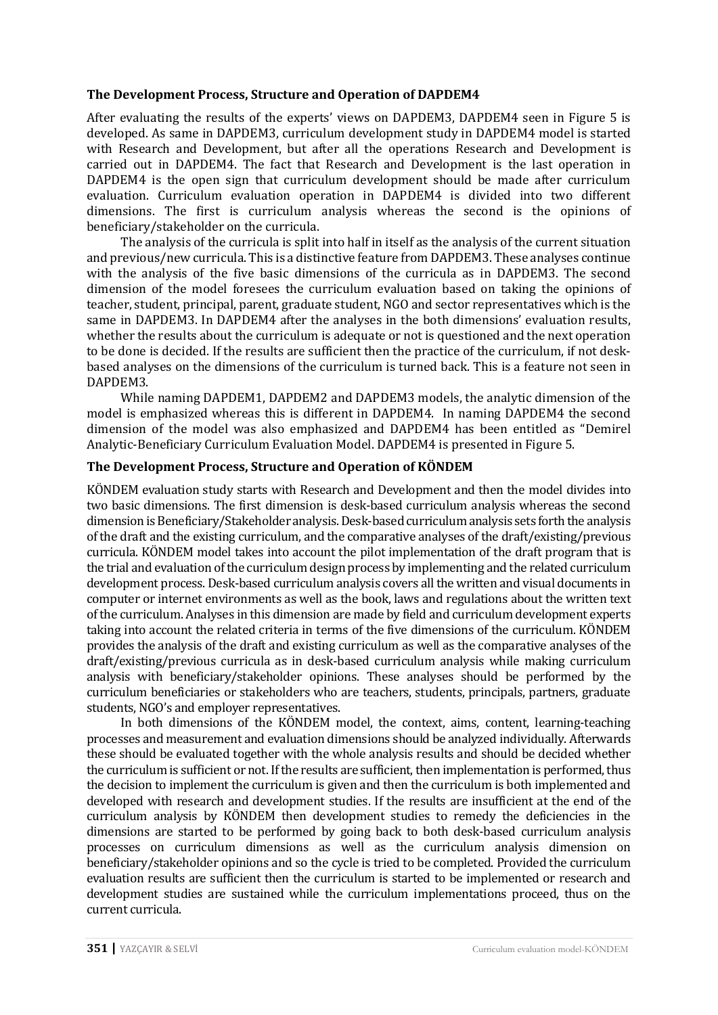### **The Development Process, Structure and Operation of DAPDEM4**

After evaluating the results of the experts' views on DAPDEM3, DAPDEM4 seen in Figure 5 is developed. As same in DAPDEM3, curriculum development study in DAPDEM4 model is started with Research and Development, but after all the operations Research and Development is carried out in DAPDEM4. The fact that Research and Development is the last operation in DAPDEM4 is the open sign that curriculum development should be made after curriculum evaluation. Curriculum evaluation operation in DAPDEM4 is divided into two different dimensions. The first is curriculum analysis whereas the second is the opinions of beneficiary/stakeholder on the curricula.

The analysis of the curricula is split into half in itself as the analysis of the current situation and previous/new curricula. This is a distinctive feature from DAPDEM3. These analyses continue with the analysis of the five basic dimensions of the curricula as in DAPDEM3. The second dimension of the model foresees the curriculum evaluation based on taking the opinions of teacher, student, principal, parent, graduate student, NGO and sector representatives which is the same in DAPDEM3. In DAPDEM4 after the analyses in the both dimensions' evaluation results, whether the results about the curriculum is adequate or not is questioned and the next operation to be done is decided. If the results are sufficient then the practice of the curriculum, if not deskbased analyses on the dimensions of the curriculum is turned back. This is a feature not seen in DAPDEM3.

While naming DAPDEM1, DAPDEM2 and DAPDEM3 models, the analytic dimension of the model is emphasized whereas this is different in DAPDEM4. In naming DAPDEM4 the second dimension of the model was also emphasized and DAPDEM4 has been entitled as "Demirel Analytic-Beneficiary Curriculum Evaluation Model. DAPDEM4 is presented in Figure 5.

### **The Development Process, Structure and Operation of KÖNDEM**

KÖNDEM evaluation study starts with Research and Development and then the model divides into two basic dimensions. The first dimension is desk-based curriculum analysis whereas the second dimension is Beneficiary/Stakeholder analysis. Desk-based curriculumanalysis sets forth the analysis of the draft and the existing curriculum, and the comparative analyses of the draft/existing/previous curricula. KÖNDEM model takes into account the pilot implementation of the draft program that is the trial and evaluation of the curriculum design process by implementing and the related curriculum development process. Desk-based curriculum analysis covers all the written and visual documents in computer or internet environments as well as the book, laws and regulations about the written text of the curriculum. Analyses in this dimension are made by field and curriculum development experts taking into account the related criteria in terms of the five dimensions of the curriculum. KÖNDEM provides the analysis of the draft and existing curriculum as well as the comparative analyses of the draft/existing/previous curricula as in desk-based curriculum analysis while making curriculum analysis with beneficiary/stakeholder opinions. These analyses should be performed by the curriculum beneficiaries or stakeholders who are teachers, students, principals, partners, graduate students, NGO's and employer representatives.

In both dimensions of the KÖNDEM model, the context, aims, content, learning-teaching processes and measurement and evaluation dimensions should be analyzed individually. Afterwards these should be evaluated together with the whole analysis results and should be decided whether the curriculum is sufficient or not. If the results are sufficient, then implementation is performed, thus the decision to implement the curriculum is given and then the curriculum is both implemented and developed with research and development studies. If the results are insufficient at the end of the curriculum analysis by KÖNDEM then development studies to remedy the deficiencies in the dimensions are started to be performed by going back to both desk-based curriculum analysis processes on curriculum dimensions as well as the curriculum analysis dimension on beneficiary/stakeholder opinions and so the cycle is tried to be completed. Provided the curriculum evaluation results are sufficient then the curriculum is started to be implemented or research and development studies are sustained while the curriculum implementations proceed, thus on the current curricula.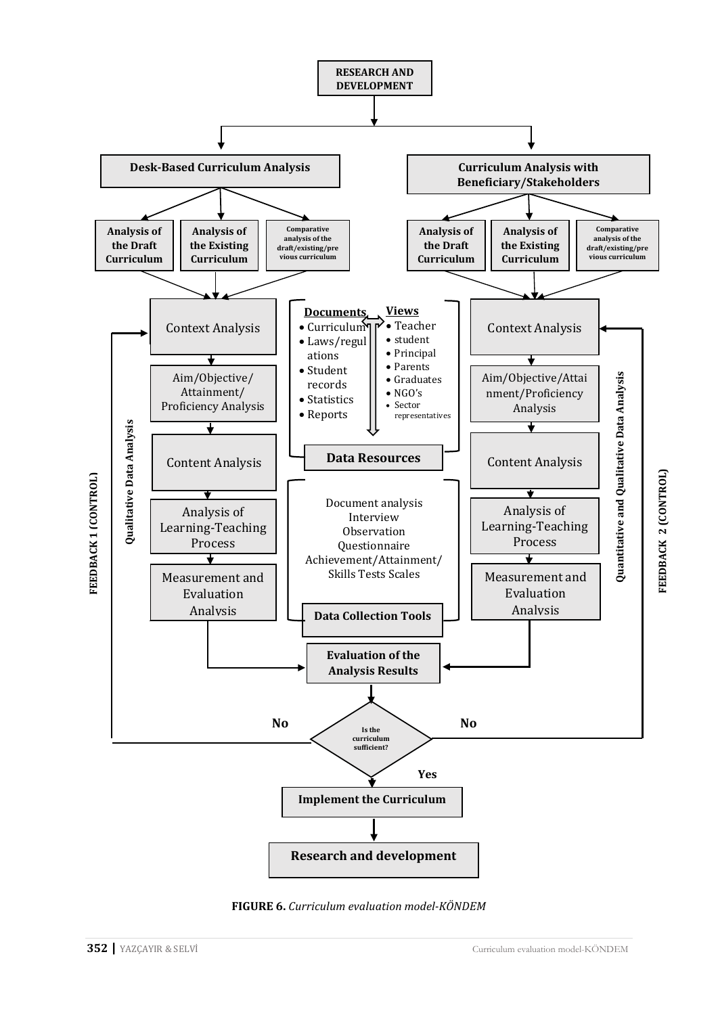

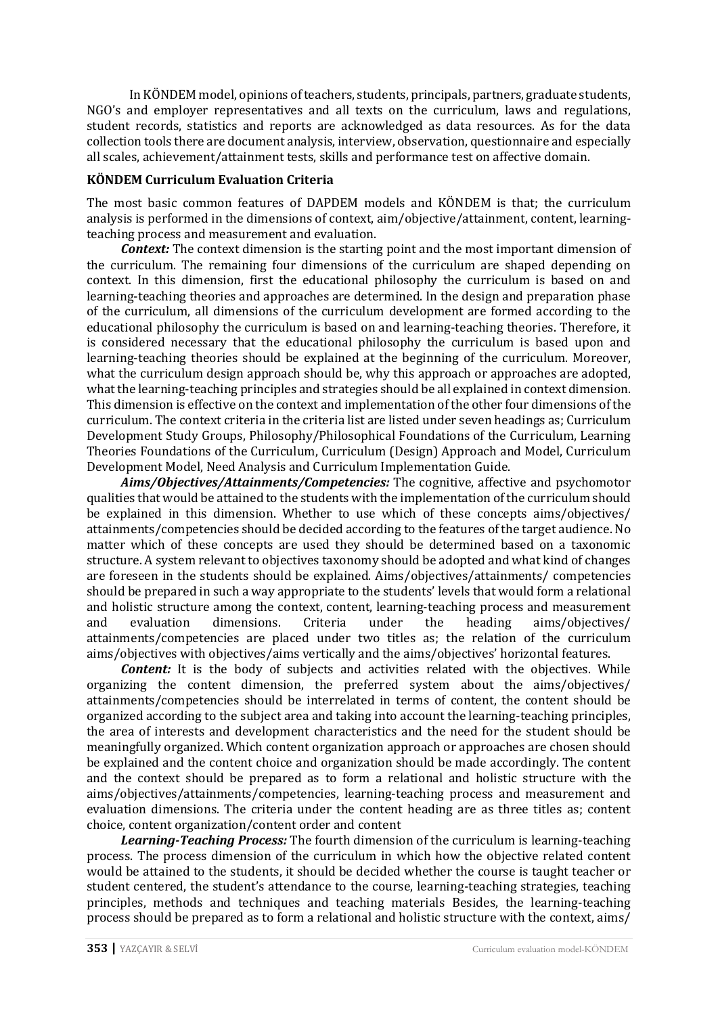In KÖNDEM model, opinions of teachers, students, principals, partners, graduate students, NGO's and employer representatives and all texts on the curriculum, laws and regulations, student records, statistics and reports are acknowledged as data resources. As for the data collection tools there are document analysis, interview, observation, questionnaire and especially all scales, achievement/attainment tests, skills and performance test on affective domain.

# **KÖNDEM Curriculum Evaluation Criteria**

The most basic common features of DAPDEM models and KÖNDEM is that; the curriculum analysis is performed in the dimensions of context, aim/objective/attainment, content, learningteaching process and measurement and evaluation.

*Context:* The context dimension is the starting point and the most important dimension of the curriculum. The remaining four dimensions of the curriculum are shaped depending on context. In this dimension, first the educational philosophy the curriculum is based on and learning-teaching theories and approaches are determined. In the design and preparation phase of the curriculum, all dimensions of the curriculum development are formed according to the educational philosophy the curriculum is based on and learning-teaching theories. Therefore, it is considered necessary that the educational philosophy the curriculum is based upon and learning-teaching theories should be explained at the beginning of the curriculum. Moreover, what the curriculum design approach should be, why this approach or approaches are adopted, what the learning-teaching principles and strategies should be all explained in context dimension. This dimension is effective on the context and implementation of the other four dimensions of the curriculum. The context criteria in the criteria list are listed under seven headings as; Curriculum Development Study Groups, Philosophy/Philosophical Foundations of the Curriculum, Learning Theories Foundations of the Curriculum, Curriculum (Design) Approach and Model, Curriculum Development Model, Need Analysis and Curriculum Implementation Guide.

*Aims/Objectives/Attainments/Competencies:* The cognitive, affective and psychomotor qualities that would be attained to the students with the implementation of the curriculum should be explained in this dimension. Whether to use which of these concepts aims/objectives/ attainments/competencies should be decided according to the features of the target audience. No matter which of these concepts are used they should be determined based on a taxonomic structure. A system relevant to objectives taxonomy should be adopted and what kind of changes are foreseen in the students should be explained. Aims/objectives/attainments/ competencies should be prepared in such a way appropriate to the students' levels that would form a relational and holistic structure among the context, content, learning-teaching process and measurement<br>and evaluation dimensions. Criteria under the heading aims/objectives/ aims/objectives/ attainments/competencies are placed under two titles as; the relation of the curriculum aims/objectives with objectives/aims vertically and the aims/objectives' horizontal features.

**Content:** It is the body of subjects and activities related with the objectives. While organizing the content dimension, the preferred system about the aims/objectives/ attainments/competencies should be interrelated in terms of content, the content should be organized according to the subject area and taking into account the learning-teaching principles, the area of interests and development characteristics and the need for the student should be meaningfully organized. Which content organization approach or approaches are chosen should be explained and the content choice and organization should be made accordingly. The content and the context should be prepared as to form a relational and holistic structure with the aims/objectives/attainments/competencies, learning-teaching process and measurement and evaluation dimensions. The criteria under the content heading are as three titles as; content choice, content organization/content order and content

*Learning-Teaching Process:* The fourth dimension of the curriculum is learning-teaching process. The process dimension of the curriculum in which how the objective related content would be attained to the students, it should be decided whether the course is taught teacher or student centered, the student's attendance to the course, learning-teaching strategies, teaching principles, methods and techniques and teaching materials Besides, the learning-teaching process should be prepared as to form a relational and holistic structure with the context, aims/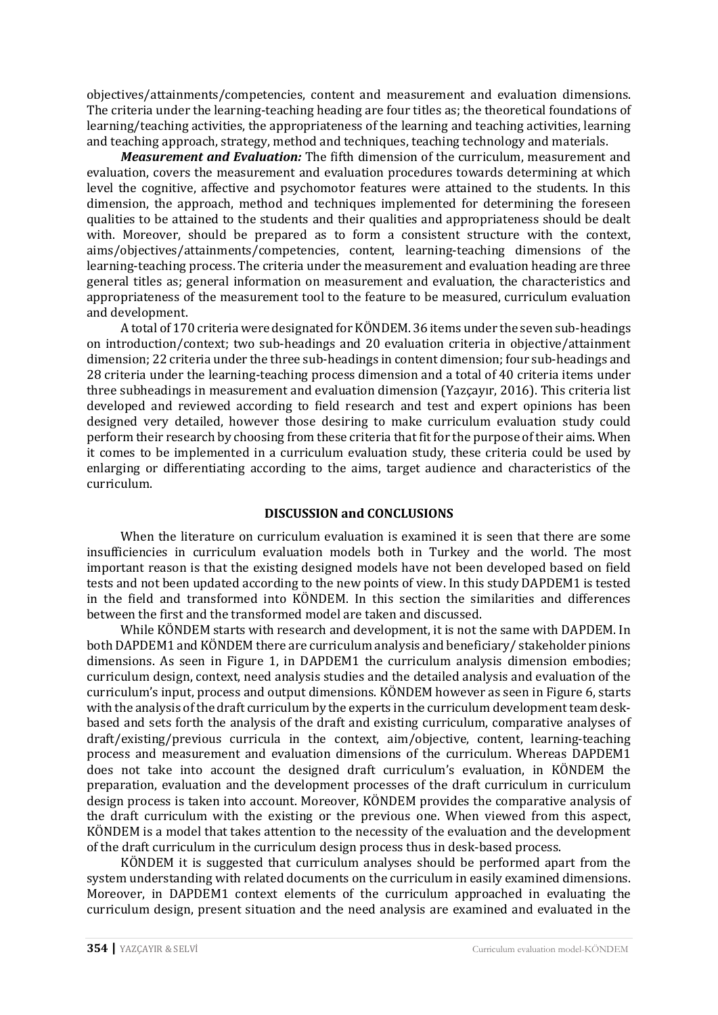objectives/attainments/competencies, content and measurement and evaluation dimensions. The criteria under the learning-teaching heading are four titles as; the theoretical foundations of learning/teaching activities, the appropriateness of the learning and teaching activities, learning and teaching approach, strategy, method and techniques, teaching technology and materials.

*Measurement and Evaluation:* The fifth dimension of the curriculum, measurement and evaluation, covers the measurement and evaluation procedures towards determining at which level the cognitive, affective and psychomotor features were attained to the students. In this dimension, the approach, method and techniques implemented for determining the foreseen qualities to be attained to the students and their qualities and appropriateness should be dealt with. Moreover, should be prepared as to form a consistent structure with the context, aims/objectives/attainments/competencies, content, learning-teaching dimensions of the learning-teaching process. The criteria under the measurement and evaluation heading are three general titles as; general information on measurement and evaluation, the characteristics and appropriateness of the measurement tool to the feature to be measured, curriculum evaluation and development.

A total of 170 criteria were designated for KÖNDEM. 36 items under the seven sub-headings on introduction/context; two sub-headings and 20 evaluation criteria in objective/attainment dimension; 22 criteria under the three sub-headings in content dimension; four sub-headings and 28 criteria under the learning-teaching process dimension and a total of 40 criteria items under three subheadings in measurement and evaluation dimension (Yazçayır, 2016). This criteria list developed and reviewed according to field research and test and expert opinions has been designed very detailed, however those desiring to make curriculum evaluation study could perform their research by choosing from these criteria that fit for the purpose of their aims. When it comes to be implemented in a curriculum evaluation study, these criteria could be used by enlarging or differentiating according to the aims, target audience and characteristics of the curriculum.

### **DISCUSSION and CONCLUSIONS**

When the literature on curriculum evaluation is examined it is seen that there are some insufficiencies in curriculum evaluation models both in Turkey and the world. The most important reason is that the existing designed models have not been developed based on field tests and not been updated according to the new points of view. In this study DAPDEM1 is tested in the field and transformed into KÖNDEM. In this section the similarities and differences between the first and the transformed model are taken and discussed.

While KÖNDEM starts with research and development, it is not the same with DAPDEM. In both DAPDEM1 and KÖNDEM there are curriculum analysis and beneficiary/ stakeholder pinions dimensions. As seen in Figure 1, in DAPDEM1 the curriculum analysis dimension embodies; curriculum design, context, need analysis studies and the detailed analysis and evaluation of the curriculum's input, process and output dimensions. KÖNDEM however as seen in Figure 6, starts with the analysis of the draft curriculum by the experts in the curriculum development team deskbased and sets forth the analysis of the draft and existing curriculum, comparative analyses of draft/existing/previous curricula in the context, aim/objective, content, learning-teaching process and measurement and evaluation dimensions of the curriculum. Whereas DAPDEM1 does not take into account the designed draft curriculum's evaluation, in KÖNDEM the preparation, evaluation and the development processes of the draft curriculum in curriculum design process is taken into account. Moreover, KÖNDEM provides the comparative analysis of the draft curriculum with the existing or the previous one. When viewed from this aspect, KÖNDEM is a model that takes attention to the necessity of the evaluation and the development of the draft curriculum in the curriculum design process thus in desk-based process.

KÖNDEM it is suggested that curriculum analyses should be performed apart from the system understanding with related documents on the curriculum in easily examined dimensions. Moreover, in DAPDEM1 context elements of the curriculum approached in evaluating the curriculum design, present situation and the need analysis are examined and evaluated in the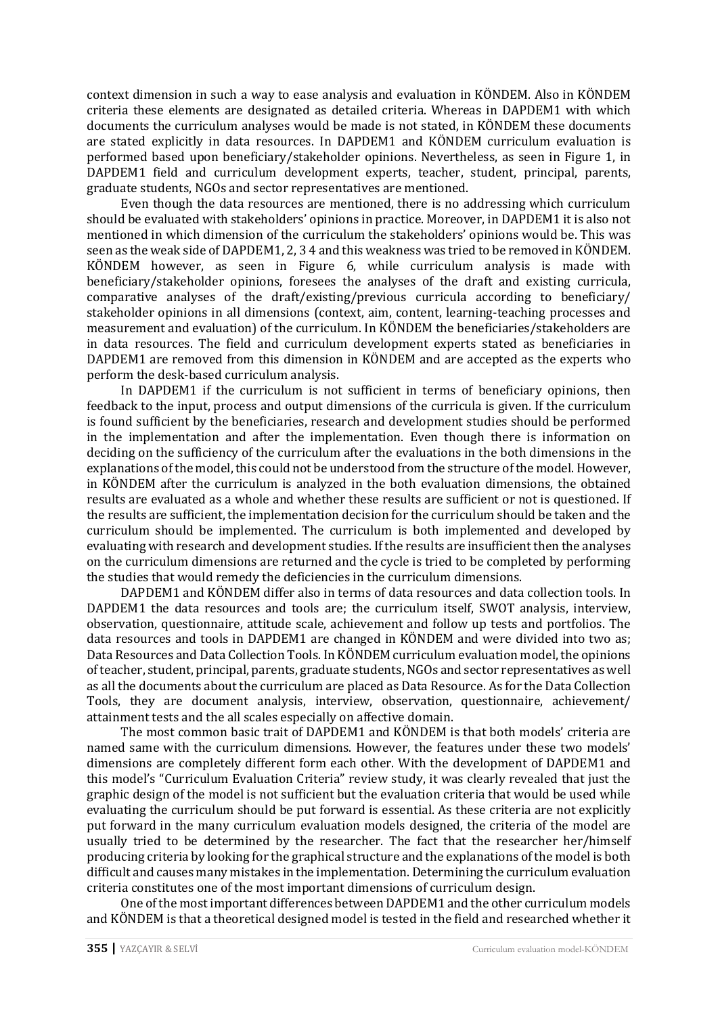context dimension in such a way to ease analysis and evaluation in KÖNDEM. Also in KÖNDEM criteria these elements are designated as detailed criteria. Whereas in DAPDEM1 with which documents the curriculum analyses would be made is not stated, in KÖNDEM these documents are stated explicitly in data resources. In DAPDEM1 and KÖNDEM curriculum evaluation is performed based upon beneficiary/stakeholder opinions. Nevertheless, as seen in Figure 1, in DAPDEM1 field and curriculum development experts, teacher, student, principal, parents, graduate students, NGOs and sector representatives are mentioned.

Even though the data resources are mentioned, there is no addressing which curriculum should be evaluated with stakeholders' opinions in practice. Moreover, in DAPDEM1 it is also not mentioned in which dimension of the curriculum the stakeholders' opinions would be. This was seen as the weak side of DAPDEM1, 2, 3 4 and this weakness was tried to be removed in KÖNDEM. KÖNDEM however, as seen in Figure 6, while curriculum analysis is made with beneficiary/stakeholder opinions, foresees the analyses of the draft and existing curricula, comparative analyses of the draft/existing/previous curricula according to beneficiary/ stakeholder opinions in all dimensions (context, aim, content, learning-teaching processes and measurement and evaluation) of the curriculum. In KÖNDEM the beneficiaries/stakeholders are in data resources. The field and curriculum development experts stated as beneficiaries in DAPDEM1 are removed from this dimension in KÖNDEM and are accepted as the experts who perform the desk-based curriculum analysis.

In DAPDEM1 if the curriculum is not sufficient in terms of beneficiary opinions, then feedback to the input, process and output dimensions of the curricula is given. If the curriculum is found sufficient by the beneficiaries, research and development studies should be performed in the implementation and after the implementation. Even though there is information on deciding on the sufficiency of the curriculum after the evaluations in the both dimensions in the explanations of the model, this could not be understood from the structure of the model. However, in KÖNDEM after the curriculum is analyzed in the both evaluation dimensions, the obtained results are evaluated as a whole and whether these results are sufficient or not is questioned. If the results are sufficient, the implementation decision for the curriculum should be taken and the curriculum should be implemented. The curriculum is both implemented and developed by evaluating with research and development studies. If the results are insufficient then the analyses on the curriculum dimensions are returned and the cycle is tried to be completed by performing the studies that would remedy the deficiencies in the curriculum dimensions.

DAPDEM1 and KÖNDEM differ also in terms of data resources and data collection tools. In DAPDEM1 the data resources and tools are; the curriculum itself, SWOT analysis, interview, observation, questionnaire, attitude scale, achievement and follow up tests and portfolios. The data resources and tools in DAPDEM1 are changed in KÖNDEM and were divided into two as; Data Resources and Data Collection Tools. In KÖNDEM curriculum evaluation model, the opinions of teacher, student, principal, parents, graduate students, NGOs and sector representatives as well as all the documents about the curriculum are placed as Data Resource. As for the Data Collection Tools, they are document analysis, interview, observation, questionnaire, achievement/ attainment tests and the all scales especially on affective domain.

The most common basic trait of DAPDEM1 and KÖNDEM is that both models' criteria are named same with the curriculum dimensions. However, the features under these two models' dimensions are completely different form each other. With the development of DAPDEM1 and this model's "Curriculum Evaluation Criteria" review study, it was clearly revealed that just the graphic design of the model is not sufficient but the evaluation criteria that would be used while evaluating the curriculum should be put forward is essential. As these criteria are not explicitly put forward in the many curriculum evaluation models designed, the criteria of the model are usually tried to be determined by the researcher. The fact that the researcher her/himself producing criteria by looking for the graphical structure and the explanations of the model is both difficult and causes many mistakes in the implementation. Determining the curriculum evaluation criteria constitutes one of the most important dimensions of curriculum design.

One of the most important differences between DAPDEM1 and the other curriculum models and KÖNDEM is that a theoretical designed model is tested in the field and researched whether it